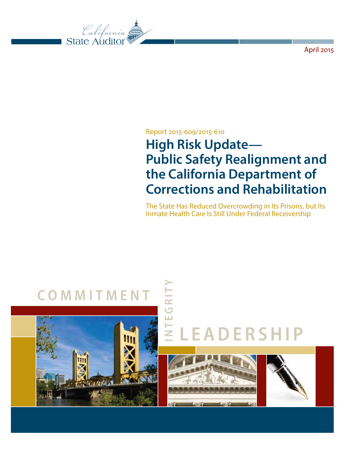April 2015



# Report 2015-609/2015-610

# **High Risk Update— Public Safety Realignment and the California Department of Corrections and Rehabilitation**

The State Has Reduced Overcrowding in Its Prisons, but Its Inmate Health Care Is Still Under Federal Receivership

# **COMMITMENT**



# **LEADERSHIP**



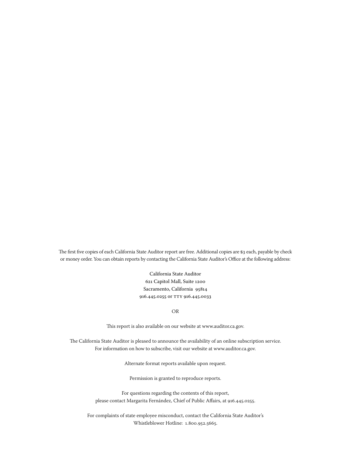The first five copies of each California State Auditor report are free. Additional copies are \$3 each, payable by check or money order. You can obtain reports by contacting the California State Auditor's Office at the following address:

> California State Auditor 621 Capitol Mall, Suite 1200 Sacramento, California 95814 916.445.0255 or TTY 916.445.0033

> > OR

This report is also available on our website at www.auditor.ca.gov.

The California State Auditor is pleased to announce the availability of an online subscription service. For information on how to subscribe, visit our website at www.auditor.ca.gov.

Alternate format reports available upon request.

Permission is granted to reproduce reports.

For questions regarding the contents of this report, please contact Margarita Fernández, Chief of Public Affairs, at 916.445.0255.

For complaints of state employee misconduct, contact the California State Auditor's Whistleblower Hotline: 1.800.952.5665.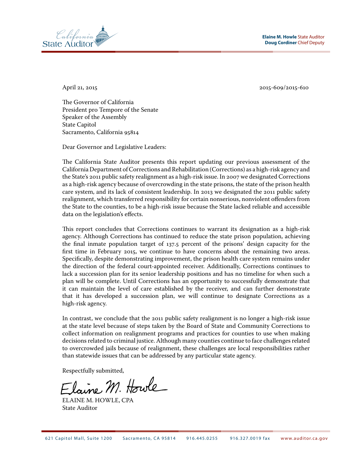



April 21, 2015 2015-610

The Governor of California President pro Tempore of the Senate Speaker of the Assembly State Capitol Sacramento, California 95814

Dear Governor and Legislative Leaders:

The California State Auditor presents this report updating our previous assessment of the California Department of Corrections and Rehabilitation (Corrections) as a high-risk agency and the State's 2011 public safety realignment as a high-risk issue. In 2007 we designated Corrections as a high-risk agency because of overcrowding in the state prisons, the state of the prison health care system, and its lack of consistent leadership. In 2013 we designated the 2011 public safety realignment, which transferred responsibility for certain nonserious, nonviolent offenders from the State to the counties, to be a high-risk issue because the State lacked reliable and accessible data on the legislation's effects.

This report concludes that Corrections continues to warrant its designation as a high-risk agency. Although Corrections has continued to reduce the state prison population, achieving the final inmate population target of 137.5 percent of the prisons' design capacity for the first time in February 2015, we continue to have concerns about the remaining two areas. Specifically, despite demonstrating improvement, the prison health care system remains under the direction of the federal court-appointed receiver. Additionally, Corrections continues to lack a succession plan for its senior leadership positions and has no timeline for when such a plan will be complete. Until Corrections has an opportunity to successfully demonstrate that it can maintain the level of care established by the receiver, and can further demonstrate that it has developed a succession plan, we will continue to designate Corrections as a high-risk agency.

In contrast, we conclude that the 2011 public safety realignment is no longer a high-risk issue at the state level because of steps taken by the Board of State and Community Corrections to collect information on realignment programs and practices for counties to use when making decisions related to criminal justice. Although many counties continue to face challenges related to overcrowded jails because of realignment, these challenges are local responsibilities rather than statewide issues that can be addressed by any particular state agency.

Respectfully submitted,

Elaine M. Howle

ELAINE M. HOWLE, CPA State Auditor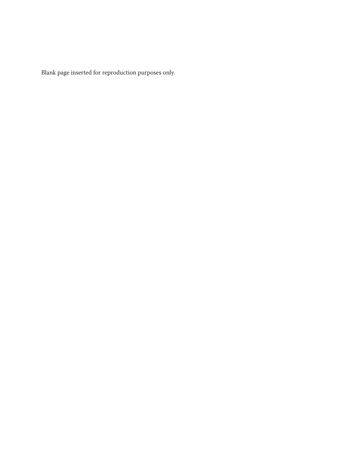Blank page inserted for reproduction purposes only.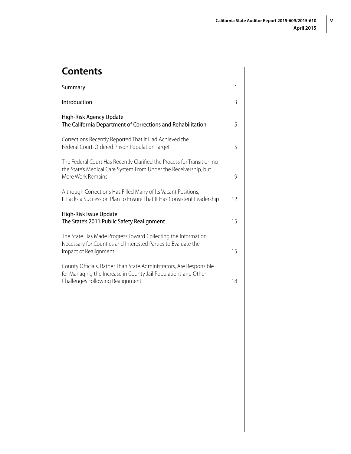| <b>Contents</b>                                                                                                                                                           |    |
|---------------------------------------------------------------------------------------------------------------------------------------------------------------------------|----|
| Summary                                                                                                                                                                   | 1  |
| Introduction                                                                                                                                                              | 3  |
| High-Risk Agency Update<br>The California Department of Corrections and Rehabilitation                                                                                    | 5  |
| Corrections Recently Reported That It Had Achieved the<br>Federal Court-Ordered Prison Population Target                                                                  | 5  |
| The Federal Court Has Recently Clarified the Process for Transitioning<br>the State's Medical Care System From Under the Receivership, but<br>More Work Remains           | 9  |
| Although Corrections Has Filled Many of Its Vacant Positions,<br>It Lacks a Succession Plan to Ensure That It Has Consistent Leadership                                   | 12 |
| High-Risk Issue Update<br>The State's 2011 Public Safety Realignment                                                                                                      | 15 |
| The State Has Made Progress Toward Collecting the Information<br>Necessary for Counties and Interested Parties to Evaluate the<br>Impact of Realignment                   | 15 |
| County Officials, Rather Than State Administrators, Are Responsible<br>for Managing the Increase in County Jail Populations and Other<br>Challenges Following Realignment | 18 |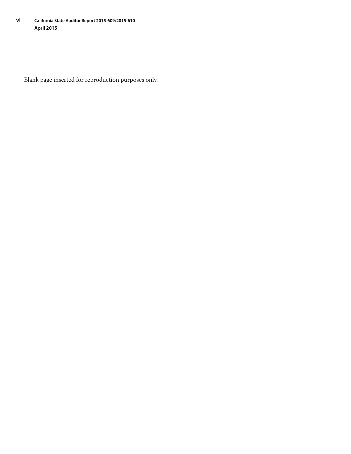Blank page inserted for reproduction purposes only.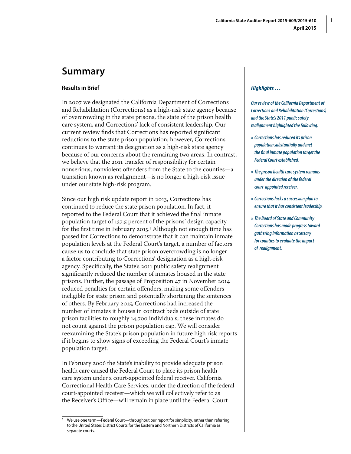# **Summary**

### **Results in Brief**

In 2007 we designated the California Department of Corrections and Rehabilitation (Corrections) as a high-risk state agency because of overcrowding in the state prisons, the state of the prison health care system, and Corrections' lack of consistent leadership. Our current review finds that Corrections has reported significant reductions to the state prison population; however, Corrections continues to warrant its designation as a high‑risk state agency because of our concerns about the remaining two areas. In contrast, we believe that the 2011 transfer of responsibility for certain nonserious, nonviolent offenders from the State to the counties—a transition known as realignment—is no longer a high-risk issue under our state high‑risk program.

Since our high risk update report in 2013, Corrections has continued to reduce the state prison population. In fact, it reported to the Federal Court that it achieved the final inmate population target of 137.5 percent of the prisons' design capacity for the first time in February 2015.<sup>1</sup> Although not enough time has passed for Corrections to demonstrate that it can maintain inmate population levels at the Federal Court's target, a number of factors cause us to conclude that state prison overcrowding is no longer a factor contributing to Corrections' designation as a high-risk agency. Specifically, the State's 2011 public safety realignment significantly reduced the number of inmates housed in the state prisons. Further, the passage of Proposition 47 in November 2014 reduced penalties for certain offenders, making some offenders ineligible for state prison and potentially shortening the sentences of others. By February 2015, Corrections had increased the number of inmates it houses in contract beds outside of state prison facilities to roughly 14,700 individuals; these inmates do not count against the prison population cap. We will consider reexamining the State's prison population in future high risk reports if it begins to show signs of exceeding the Federal Court's inmate population target.

In February 2006 the State's inability to provide adequate prison health care caused the Federal Court to place its prison health care system under a court‑appointed federal receiver. California Correctional Health Care Services, under the direction of the federal court‑appointed receiver—which we will collectively refer to as the Receiver's Office—will remain in place until the Federal Court

#### *Highlights . . .*

*Our review of the California Department of Corrections and Rehabilitation (Corrections) and the State's 2011 public safety realignment highlighted the following:*

- » *Corrections has reduced its prison population substantially and met the final inmate population target the Federal Court established.*
- » *The prison health care system remains under the direction of the federal court‑appointed receiver.*
- » *Corrections lacks a succession plan to ensure that it has consistent leadership.*
- » *The Board of State and Community Corrections has made progress toward gathering information necessary for counties to evaluate the impact of realignment.*

We use one term—Federal Court—throughout our report for simplicity, rather than referring to the United States District Courts for the Eastern and Northern Districts of California as separate courts.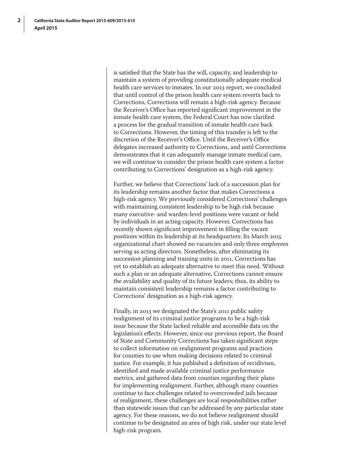is satisfied that the State has the will, capacity, and leadership to maintain a system of providing constitutionally adequate medical health care services to inmates. In our 2013 report, we concluded that until control of the prison health care system reverts back to Corrections, Corrections will remain a high‑risk agency. Because the Receiver's Office has reported significant improvement in the inmate health care system, the Federal Court has now clarified a process for the gradual transition of inmate health care back to Corrections. However, the timing of this transfer is left to the discretion of the Receiver's Office. Until the Receiver's Office delegates increased authority to Corrections, and until Corrections demonstrates that it can adequately manage inmate medical care, we will continue to consider the prison health care system a factor contributing to Corrections' designation as a high-risk agency.

Further, we believe that Corrections' lack of a succession plan for its leadership remains another factor that makes Corrections a high-risk agency. We previously considered Corrections' challenges with maintaining consistent leadership to be high risk because many executive- and warden-level positions were vacant or held by individuals in an acting capacity. However, Corrections has recently shown significant improvement in filling the vacant positions within its leadership at its headquarters: Its March 2015 organizational chart showed no vacancies and only three employees serving as acting directors. Nonetheless, after eliminating its succession planning and training units in 2011, Corrections has yet to establish an adequate alternative to meet this need. Without such a plan or an adequate alternative, Corrections cannot ensure the availability and quality of its future leaders; thus, its ability to maintain consistent leadership remains a factor contributing to Corrections' designation as a high-risk agency.

Finally, in 2013 we designated the State's 2011 public safety realignment of its criminal justice programs to be a high-risk issue because the State lacked reliable and accessible data on the legislation's effects. However, since our previous report, the Board of State and Community Corrections has taken significant steps to collect information on realignment programs and practices for counties to use when making decisions related to criminal justice. For example, it has published a definition of recidivism, identified and made available criminal justice performance metrics, and gathered data from counties regarding their plans for implementing realignment. Further, although many counties continue to face challenges related to overcrowded jails because of realignment, these challenges are local responsibilities rather than statewide issues that can be addressed by any particular state agency. For these reasons, we do not believe realignment should continue to be designated an area of high risk, under our state level high-risk program.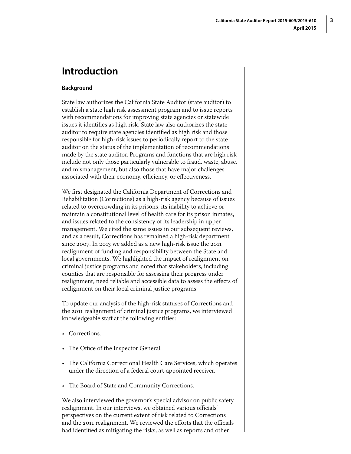# **Introduction**

## **Background**

State law authorizes the California State Auditor (state auditor) to establish a state high risk assessment program and to issue reports with recommendations for improving state agencies or statewide issues it identifies as high risk. State law also authorizes the state auditor to require state agencies identified as high risk and those responsible for high-risk issues to periodically report to the state auditor on the status of the implementation of recommendations made by the state auditor. Programs and functions that are high risk include not only those particularly vulnerable to fraud, waste, abuse, and mismanagement, but also those that have major challenges associated with their economy, efficiency, or effectiveness.

We first designated the California Department of Corrections and Rehabilitation (Corrections) as a high-risk agency because of issues related to overcrowding in its prisons, its inability to achieve or maintain a constitutional level of health care for its prison inmates, and issues related to the consistency of its leadership in upper management. We cited the same issues in our subsequent reviews, and as a result, Corrections has remained a high-risk department since 2007. In 2013 we added as a new high-risk issue the 2011 realignment of funding and responsibility between the State and local governments. We highlighted the impact of realignment on criminal justice programs and noted that stakeholders, including counties that are responsible for assessing their progress under realignment, need reliable and accessible data to assess the effects of realignment on their local criminal justice programs.

To update our analysis of the high‑risk statuses of Corrections and the 2011 realignment of criminal justice programs, we interviewed knowledgeable staff at the following entities:

- Corrections.
- The Office of the Inspector General.
- The California Correctional Health Care Services, which operates under the direction of a federal court‑appointed receiver.
- The Board of State and Community Corrections.

We also interviewed the governor's special advisor on public safety realignment. In our interviews, we obtained various officials' perspectives on the current extent of risk related to Corrections and the 2011 realignment. We reviewed the efforts that the officials had identified as mitigating the risks, as well as reports and other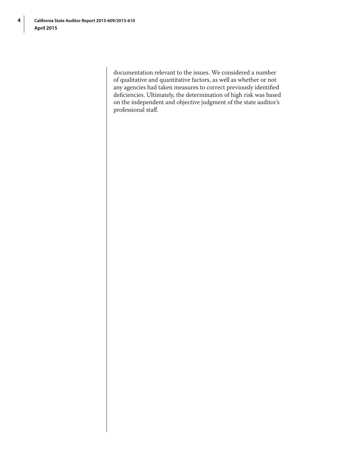**4**

documentation relevant to the issues. We considered a number of qualitative and quantitative factors, as well as whether or not any agencies had taken measures to correct previously identified deficiencies. Ultimately, the determination of high risk was based on the independent and objective judgment of the state auditor's professional staff.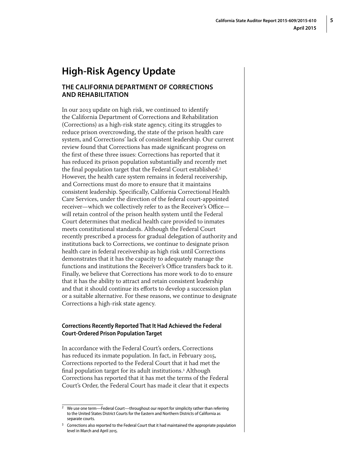# **High‑Risk Agency Update**

# **THE CALIFORNIA DEPARTMENT OF CORRECTIONS AND REHABILITATION**

In our 2013 update on high risk, we continued to identify the California Department of Corrections and Rehabilitation (Corrections) as a high‑risk state agency, citing its struggles to reduce prison overcrowding, the state of the prison health care system, and Corrections' lack of consistent leadership. Our current review found that Corrections has made significant progress on the first of these three issues: Corrections has reported that it has reduced its prison population substantially and recently met the final population target that the Federal Court established.<sup>2</sup> However, the health care system remains in federal receivership, and Corrections must do more to ensure that it maintains consistent leadership. Specifically, California Correctional Health Care Services, under the direction of the federal court‑appointed receiver—which we collectively refer to as the Receiver's Office will retain control of the prison health system until the Federal Court determines that medical health care provided to inmates meets constitutional standards. Although the Federal Court recently prescribed a process for gradual delegation of authority and institutions back to Corrections, we continue to designate prison health care in federal receivership as high risk until Corrections demonstrates that it has the capacity to adequately manage the functions and institutions the Receiver's Office transfers back to it. Finally, we believe that Corrections has more work to do to ensure that it has the ability to attract and retain consistent leadership and that it should continue its efforts to develop a succession plan or a suitable alternative. For these reasons, we continue to designate Corrections a high‑risk state agency.

## **Corrections Recently Reported That It Had Achieved the Federal Court‑Ordered Prison Population Target**

In accordance with the Federal Court's orders, Corrections has reduced its inmate population. In fact, in February 2015, Corrections reported to the Federal Court that it had met the final population target for its adult institutions.3 Although Corrections has reported that it has met the terms of the Federal Court's Order, the Federal Court has made it clear that it expects

<sup>&</sup>lt;sup>2</sup> We use one term—Federal Court—throughout our report for simplicity rather than referring to the United States District Courts for the Eastern and Northern Districts of California as separate courts.

<sup>&</sup>lt;sup>3</sup> Corrections also reported to the Federal Court that it had maintained the appropriate population level in March and April 2015.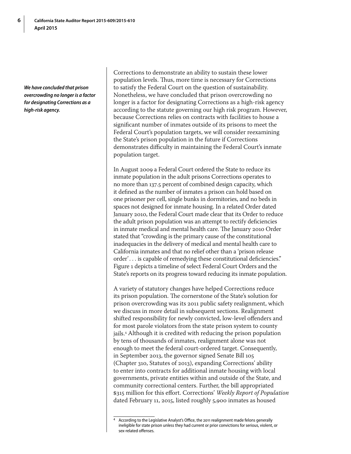*We have concluded that prison overcrowding no longer is a factor for designating Corrections as a high-risk agency.* 

Corrections to demonstrate an ability to sustain these lower population levels. Thus, more time is necessary for Corrections to satisfy the Federal Court on the question of sustainability. Nonetheless, we have concluded that prison overcrowding no longer is a factor for designating Corrections as a high-risk agency according to the statute governing our high risk program. However, because Corrections relies on contracts with facilities to house a significant number of inmates outside of its prisons to meet the Federal Court's population targets, we will consider reexamining the State's prison population in the future if Corrections demonstrates difficulty in maintaining the Federal Court's inmate population target.

In August 2009 a Federal Court ordered the State to reduce its inmate population in the adult prisons Corrections operates to no more than 137.5 percent of combined design capacity, which it defined as the number of inmates a prison can hold based on one prisoner per cell, single bunks in dormitories, and no beds in spaces not designed for inmate housing. In a related Order dated January 2010, the Federal Court made clear that its Order to reduce the adult prison population was an attempt to rectify deficiencies in inmate medical and mental health care. The January 2010 Order stated that "crowding is the primary cause of the constitutional inadequacies in the delivery of medical and mental health care to California inmates and that no relief other than a 'prison release order'... is capable of remedying these constitutional deficiencies." Figure 1 depicts a timeline of select Federal Court Orders and the State's reports on its progress toward reducing its inmate population.

A variety of statutory changes have helped Corrections reduce its prison population. The cornerstone of the State's solution for prison overcrowding was its 2011 public safety realignment, which we discuss in more detail in subsequent sections. Realignment shifted responsibility for newly convicted, low‑level offenders and for most parole violators from the state prison system to county jails.4 Although it is credited with reducing the prison population by tens of thousands of inmates, realignment alone was not enough to meet the federal court‑ordered target. Consequently, in September 2013, the governor signed Senate Bill 105 (Chapter 310, Statutes of 2013), expanding Corrections' ability to enter into contracts for additional inmate housing with local governments, private entities within and outside of the State, and community correctional centers. Further, the bill appropriated \$315 million for this effort. Corrections' *Weekly Report of Population* dated February 11, 2015, listed roughly 5,900 inmates as housed

<sup>4</sup> According to the Legislative Analyst's Office, the 2011 realignment made felons generally ineligible for state prison unless they had current or prior convictions for serious, violent, or sex-related offenses.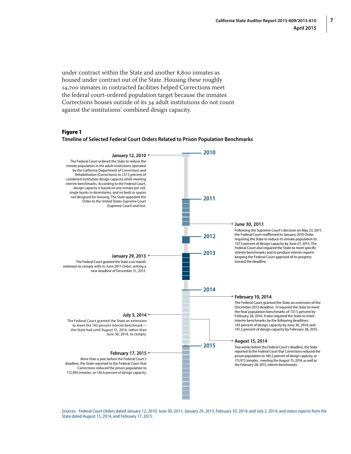under contract within the State and another 8,800 inmates as housed under contract out of the State. Housing these roughly 14,700 inmates in contracted facilities helped Corrections meet the federal court‑ordered population target because the inmates Corrections houses outside of its 34 adult institutions do not count against the institutions' combined design capacity.

#### Figure 1

#### **Timeline of Selected Federal Court Orders Related to Prison Population Benchmarks**



Sources: Federal Court Orders dated January 12, 2010; June 30, 2011; January 29, 2013; February 10, 2014; and July 3, 2014, and status reports from the State dated August 15, 2014, and February 17, 2015.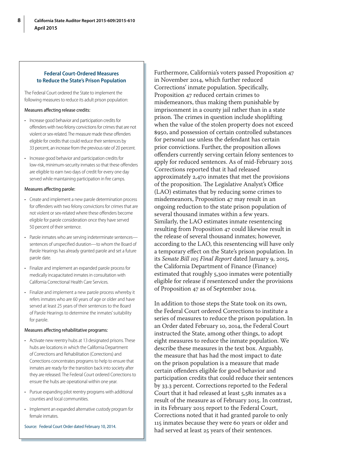#### **Federal Court-Ordered Measures to Reduce the State's Prison Population**

The Federal Court ordered the State to implement the following measures to reduce its adult prison population:

#### Measures affecting release credits:

**8**

- Increase good behavior and participation credits for offenders with two felony convictions for crimes that are not violent or sex-related. The measure made these offenders eligible for credits that could reduce their sentences by 33 percent, an increase from the previous rate of 20 percent.
- Increase good behavior and participation credits for low-risk, minimum-security inmates so that these offenders are eligible to earn two days of credit for every one day served while maintaining participation in fire camps.

#### Measures affecting parole:

- Create and implement a new parole determination process for offenders with two felony convictions for crimes that are not violent or sex-related where these offenders become eligible for parole consideration once they have served 50 percent of their sentence.
- Parole inmates who are serving indeterminate sentences sentences of unspecified duration—to whom the Board of Parole Hearings has already granted parole and set a future parole date.
- Finalize and implement an expanded parole process for medically incapacitated inmates in consultation with California Correctional Health Care Services.
- Finalize and implement a new parole process whereby it refers inmates who are 60 years of age or older and have served at least 25 years of their sentences to the Board of Parole Hearings to determine the inmates' suitability for parole.

#### Measures affecting rehabilitative programs:

- Activate new reentry hubs at 13 designated prisons. These hubs are locations in which the California Department of Corrections and Rehabilitation (Corrections) and Corrections concentrates programs to help to ensure that inmates are ready for the transition back into society after they are released. The Federal Court ordered Corrections to ensure the hubs are operational within one year.
- Pursue expanding pilot reentry programs with additional counties and local communities.
- Implement an expanded alternative custody program for female inmates.

Source: Federal Court Order dated February 10, 2014.

Furthermore, California's voters passed Proposition 47 in November 2014, which further reduced Corrections' inmate population. Specifically, Proposition 47 reduced certain crimes to misdemeanors, thus making them punishable by imprisonment in a county jail rather than in a state prison. The crimes in question include shoplifting when the value of the stolen property does not exceed \$950, and possession of certain controlled substances for personal use unless the defendant has certain prior convictions. Further, the proposition allows offenders currently serving certain felony sentences to apply for reduced sentences. As of mid‑February 2015 Corrections reported that it had released approximately 2,470 inmates that met the provisions of the proposition. The Legislative Analyst's Office (LAO) estimates that by reducing some crimes to misdemeanors, Proposition 47 may result in an ongoing reduction to the state prison population of several thousand inmates within a few years. Similarly, the LAO estimates inmate resentencing resulting from Proposition 47 could likewise result in the release of several thousand inmates; however, according to the LAO, this resentencing will have only a temporary effect on the State's prison population. In its *Senate Bill 105 Final Report* dated January 9, 2015, the California Department of Finance (Finance) estimated that roughly 5,300 inmates were potentially eligible for release if resentenced under the provisions of Proposition 47 as of September 2014.

In addition to those steps the State took on its own, the Federal Court ordered Corrections to institute a series of measures to reduce the prison population. In an Order dated February 10, 2014, the Federal Court instructed the State, among other things, to adopt eight measures to reduce the inmate population. We describe these measures in the text box. Arguably, the measure that has had the most impact to date on the prison population is a measure that made certain offenders eligible for good behavior and participation credits that could reduce their sentences by 33.3 percent. Corrections reported to the Federal Court that it had released at least 5,581 inmates as a result of the measure as of February 2015. In contrast, in its February 2015 report to the Federal Court, Corrections noted that it had granted parole to only 115 inmates because they were 60 years or older and had served at least 25 years of their sentences.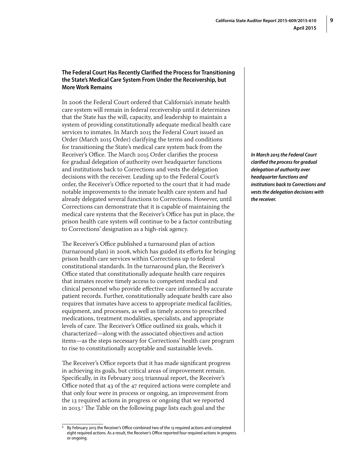## **The Federal Court Has Recently Clarified the Process for Transitioning the State's Medical Care System From Under the Receivership, but More Work Remains**

In 2006 the Federal Court ordered that California's inmate health care system will remain in federal receivership until it determines that the State has the will, capacity, and leadership to maintain a system of providing constitutionally adequate medical health care services to inmates. In March 2015 the Federal Court issued an Order (March 2015 Order) clarifying the terms and conditions for transitioning the State's medical care system back from the Receiver's Office. The March 2015 Order clarifies the process for gradual delegation of authority over headquarter functions and institutions back to Corrections and vests the delegation decisions with the receiver. Leading up to the Federal Court's order, the Receiver's Office reported to the court that it had made notable improvements to the inmate health care system and had already delegated several functions to Corrections. However, until Corrections can demonstrate that it is capable of maintaining the medical care systems that the Receiver's Office has put in place, the prison health care system will continue to be a factor contributing to Corrections' designation as a high-risk agency.

The Receiver's Office published a turnaround plan of action (turnaround plan) in 2008, which has guided its efforts for bringing prison health care services within Corrections up to federal constitutional standards. In the turnaround plan, the Receiver's Office stated that constitutionally adequate health care requires that inmates receive timely access to competent medical and clinical personnel who provide effective care informed by accurate patient records. Further, constitutionally adequate health care also requires that inmates have access to appropriate medical facilities, equipment, and processes, as well as timely access to prescribed medications, treatment modalities, specialists, and appropriate levels of care. The Receiver's Office outlined six goals, which it characterized—along with the associated objectives and action items—as the steps necessary for Corrections' health care program to rise to constitutionally acceptable and sustainable levels.

The Receiver's Office reports that it has made significant progress in achieving its goals, but critical areas of improvement remain. Specifically, in its February 2015 triannual report, the Receiver's Office noted that 43 of the 47 required actions were complete and that only four were in process or ongoing, an improvement from the 13 required actions in progress or ongoing that we reported in 2013.5 The Table on the following page lists each goal and the

*In March 2015 the Federal Court clarified the process for gradual delegation of authority over headquarter functions and institutions back to Corrections and vests the delegation decisions with the receiver.*

<sup>5</sup> By February 2015 the Receiver's Office combined two of the 13 required actions and completed eight required actions. As a result, the Receiver's Office reported four required actions in progress or ongoing.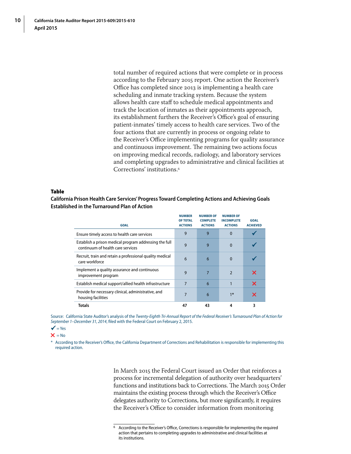total number of required actions that were complete or in process according to the February 2015 report. One action the Receiver's Office has completed since 2013 is implementing a health care scheduling and inmate tracking system. Because the system allows health care staff to schedule medical appointments and track the location of inmates as their appointments approach, its establishment furthers the Receiver's Office's goal of ensuring patient-inmates' timely access to health care services. Two of the four actions that are currently in process or ongoing relate to the Receiver's Office implementing programs for quality assurance and continuous improvement. The remaining two actions focus on improving medical records, radiology, and laboratory services and completing upgrades to administrative and clinical facilities at Corrections' institutions.6

#### Table

**California Prison Health Care Services' Progress Toward Completing Actions and Achieving Goals Established in the Turnaround Plan of Action**

| <b>GOAL</b>                                                                                 | <b>NUMBER</b><br><b>OF TOTAL</b><br><b>ACTIONS</b> | <b>NUMBER OF</b><br><b>COMPLETE</b><br><b>ACTIONS</b> | <b>NUMBER OF</b><br><b>INCOMPLETE</b><br><b>ACTIONS</b> | <b>GOAL</b><br><b>ACHIEVED</b> |
|---------------------------------------------------------------------------------------------|----------------------------------------------------|-------------------------------------------------------|---------------------------------------------------------|--------------------------------|
| Ensure timely access to health care services                                                | 9                                                  | 9                                                     | $\Omega$                                                |                                |
| Establish a prison medical program addressing the full<br>continuum of health care services | 9                                                  | 9                                                     | $\mathbf{0}$                                            |                                |
| Recruit, train and retain a professional quality medical<br>care workforce                  | 6                                                  | 6                                                     | $\Omega$                                                |                                |
| Implement a quality assurance and continuous<br>improvement program                         | 9                                                  | 7                                                     | $\overline{\phantom{0}}$                                | $\bm{\times}$                  |
| Establish medical support/allied health infrastructure                                      | 7                                                  | 6                                                     | $\mathbf{1}$                                            | $\boldsymbol{\mathsf{x}}$      |
| Provide for necessary clinical, administrative, and<br>housing facilities                   | 7                                                  | 6                                                     | $1*$                                                    | X                              |
| <b>Totals</b>                                                                               | 47                                                 | 43                                                    | 4                                                       | 3                              |

Source: California State Auditor's analysis of the *Twenty‑Eighth Tri‑Annual Report of the Federal Receiver's Turnaround Plan of Action for September 1–December 31, 2014*, filed with the Federal Court on February 2, 2015.

### $\checkmark$  = Yes

 $X = No$ 

\* According to the Receiver's Office, the California Department of Corrections and Rehabilitation is responsible for implementing this required action.

> In March 2015 the Federal Court issued an Order that reinforces a process for incremental delegation of authority over headquarters' functions and institutions back to Corrections. The March 2015 Order maintains the existing process through which the Receiver's Office delegates authority to Corrections, but more significantly, it requires the Receiver's Office to consider information from monitoring

<sup>&</sup>lt;sup>6</sup> According to the Receiver's Office, Corrections is responsible for implementing the required action that pertains to completing upgrades to administrative and clinical facilities at its institutions.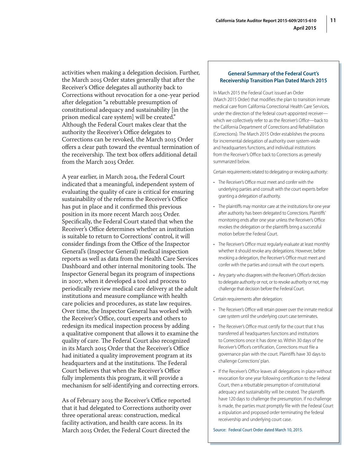activities when making a delegation decision. Further, the March 2015 Order states generally that after the Receiver's Office delegates all authority back to Corrections without revocation for a one‑year period after delegation "a rebuttable presumption of constitutional adequacy and sustainability [in the prison medical care system] will be created." Although the Federal Court makes clear that the authority the Receiver's Office delegates to Corrections can be revoked, the March 2015 Order offers a clear path toward the eventual termination of the receivership. The text box offers additional detail from the March 2015 Order.

A year earlier, in March 2014, the Federal Court indicated that a meaningful, independent system of evaluating the quality of care is critical for ensuring sustainability of the reforms the Receiver's Office has put in place and it confirmed this previous position in its more recent March 2015 Order. Specifically, the Federal Court stated that when the Receiver's Office determines whether an institution is suitable to return to Corrections' control, it will consider findings from the Office of the Inspector General's (Inspector General) medical inspection reports as well as data from the Health Care Services Dashboard and other internal monitoring tools. The Inspector General began its program of inspections in 2007, when it developed a tool and process to periodically review medical care delivery at the adult institutions and measure compliance with health care policies and procedures, as state law requires. Over time, the Inspector General has worked with the Receiver's Office, court experts and others to redesign its medical inspection process by adding a qualitative component that allows it to examine the quality of care. The Federal Court also recognized in its March 2015 Order that the Receiver's Office had initiated a quality improvement program at its headquarters and at the institutions. The Federal Court believes that when the Receiver's Office fully implements this program, it will provide a mechanism for self‑identifying and correcting errors.

As of February 2015 the Receiver's Office reported that it had delegated to Corrections authority over three operational areas: construction, medical facility activation, and health care access. In its March 2015 Order, the Federal Court directed the

#### **General Summary of the Federal Court's Receivership Transition Plan Dated March 2015**

In March 2015 the Federal Court issued an Order (March 2015 Order) that modifies the plan to transition inmate medical care from California Correctional Health Care Services, under the direction of the federal court-appointed receiver which we collectively refer to as the *Receiver's Office*—back to the California Department of Corrections and Rehabilitation (Corrections). The March 2015 Order establishes the process for incremental delegation of authority over system-wide and headquarters functions, and individual institutions from the Receiver's Office back to Corrections as generally summarized below.

Certain requirements related to delegating or revoking authority:

- The Receiver's Office must meet and confer with the underlying parties and consult with the court experts before granting a delegation of authority.
- The plaintiffs may monitor care at the institutions for one year after authority has been delegated to Corrections. Plaintiffs' monitoring ends after one year unless the Receiver's Office revokes the delegation or the plaintiffs bring a successful motion before the Federal Court.
- The Receiver's Office must regularly evaluate at least monthly whether it should revoke any delegations. However, before revoking a delegation, the Receiver's Office must meet and confer with the parties and consult with the court experts.
- Any party who disagrees with the Receiver's Office's decision to delegate authority or not, or to revoke authority or not, may challenge that decision before the Federal Court.

Certain requirements after delegation:

- The Receiver's Office will retain power over the inmate medical care system until the underlying court case terminates.
- The Receiver's Office must certify for the court that it has transferred all headquarters functions and institutions to Corrections once it has done so. Within 30 days of the Receiver's Office's certification, Corrections must file a governance plan with the court. Plaintiffs have 30 days to challenge Corrections' plan.
- If the Receiver's Office leaves all delegations in place without revocation for one year following certification to the Federal Court, then a rebuttable presumption of constitutional adequacy and sustainability will be created. The plaintiffs have 120 days to challenge the presumption. If no challenge is made, the parties must promptly file with the Federal Court a stipulation and proposed order terminating the federal receivership and underlying court case.

Source: Federal Court Order dated March 10, 2015.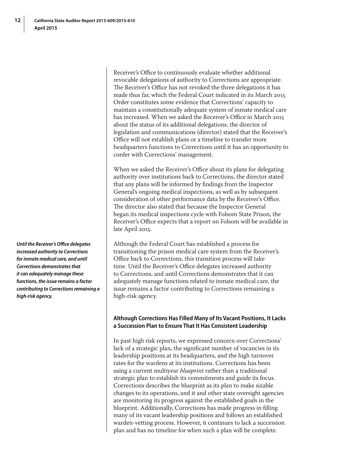Receiver's Office to continuously evaluate whether additional revocable delegations of authority to Corrections are appropriate. The Receiver's Office has not revoked the three delegations it has made thus far, which the Federal Court indicated in its March 2015 Order constitutes some evidence that Corrections' capacity to maintain a constitutionally adequate system of inmate medical care has increased. When we asked the Receiver's Office in March 2015 about the status of its additional delegations, the director of legislation and communications (director) stated that the Receiver's Office will not establish plans or a timeline to transfer more headquarters functions to Corrections until it has an opportunity to confer with Corrections' management.

When we asked the Receiver's Office about its plans for delegating authority over institutions back to Corrections, the director stated that any plans will be informed by findings from the Inspector General's ongoing medical inspections, as well as by subsequent consideration of other performance data by the Receiver's Office. The director also stated that because the Inspector General began its medical inspections cycle with Folsom State Prison, the Receiver's Office expects that a report on Folsom will be available in late April 2015.

Although the Federal Court has established a process for transitioning the prison medical care system from the Receiver's Office back to Corrections, this transition process will take time. Until the Receiver's Office delegates increased authority to Corrections, and until Corrections demonstrates that it can adequately manage functions related to inmate medical care, the issue remains a factor contributing to Corrections remaining a high-risk agency.

# **Although Corrections Has Filled Many of Its Vacant Positions, It Lacks a Succession Plan to Ensure That It Has Consistent Leadership**

In past high risk reports, we expressed concern over Corrections' lack of a strategic plan, the significant number of vacancies in its leadership positions at its headquarters, and the high turnover rates for the wardens at its institutions. Corrections has been using a current multiyear *blueprint* rather than a traditional strategic plan to establish its commitments and guide its focus. Corrections describes the blueprint as its plan to make sizable changes to its operations, and it and other state oversight agencies are monitoring its progress against the established goals in the blueprint. Additionally, Corrections has made progress in filling many of its vacant leadership positions and follows an established warden‑vetting process. However, it continues to lack a succession plan and has no timeline for when such a plan will be complete.

*Until the Receiver's Office delegates increased authority to Corrections for inmate medical care, and until Corrections demonstrates that it can adequately manage these functions, the issue remains a factor contributing to Corrections remaining a high-risk agency.*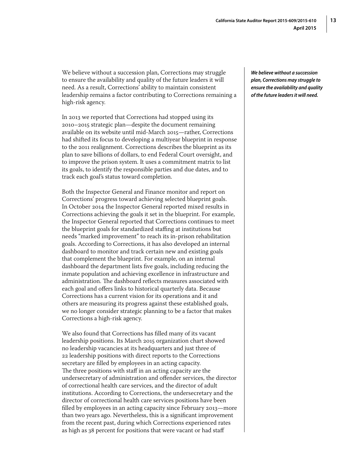We believe without a succession plan, Corrections may struggle to ensure the availability and quality of the future leaders it will need. As a result, Corrections' ability to maintain consistent leadership remains a factor contributing to Corrections remaining a high‑risk agency.

In 2013 we reported that Corrections had stopped using its 2010–2015 strategic plan—despite the document remaining available on its website until mid‑March 2015—rather, Corrections had shifted its focus to developing a multiyear blueprint in response to the 2011 realignment. Corrections describes the blueprint as its plan to save billions of dollars, to end Federal Court oversight, and to improve the prison system. It uses a commitment matrix to list its goals, to identify the responsible parties and due dates, and to track each goal's status toward completion.

Both the Inspector General and Finance monitor and report on Corrections' progress toward achieving selected blueprint goals. In October 2014 the Inspector General reported mixed results in Corrections achieving the goals it set in the blueprint. For example, the Inspector General reported that Corrections continues to meet the blueprint goals for standardized staffing at institutions but needs "marked improvement" to reach its in‑prison rehabilitation goals. According to Corrections, it has also developed an internal dashboard to monitor and track certain new and existing goals that complement the blueprint. For example, on an internal dashboard the department lists five goals, including reducing the inmate population and achieving excellence in infrastructure and administration. The dashboard reflects measures associated with each goal and offers links to historical quarterly data. Because Corrections has a current vision for its operations and it and others are measuring its progress against these established goals, we no longer consider strategic planning to be a factor that makes Corrections a high-risk agency.

We also found that Corrections has filled many of its vacant leadership positions. Its March 2015 organization chart showed no leadership vacancies at its headquarters and just three of 22 leadership positions with direct reports to the Corrections secretary are filled by employees in an acting capacity. The three positions with staff in an acting capacity are the undersecretary of administration and offender services, the director of correctional health care services, and the director of adult institutions. According to Corrections, the undersecretary and the director of correctional health care services positions have been filled by employees in an acting capacity since February 2013—more than two years ago. Nevertheless, this is a significant improvement from the recent past, during which Corrections experienced rates as high as 38 percent for positions that were vacant or had staff

*We believe without a succession plan, Corrections may struggle to ensure the availability and quality of the future leaders it will need.*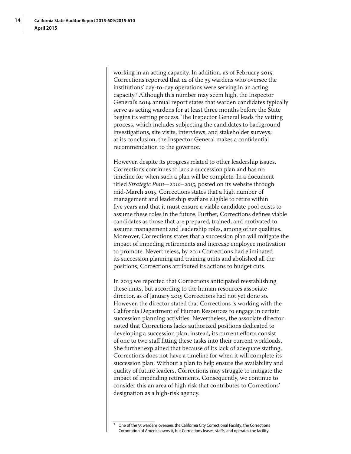working in an acting capacity. In addition, as of February 2015, Corrections reported that 12 of the 35 wardens who oversee the institutions' day‑to‑day operations were serving in an acting capacity.7 Although this number may seem high, the Inspector General's 2014 annual report states that warden candidates typically serve as acting wardens for at least three months before the State begins its vetting process. The Inspector General leads the vetting process, which includes subjecting the candidates to background investigations, site visits, interviews, and stakeholder surveys; at its conclusion, the Inspector General makes a confidential recommendation to the governor.

However, despite its progress related to other leadership issues, Corrections continues to lack a succession plan and has no timeline for when such a plan will be complete. In a document titled *Strategic Plan—2010–2015*, posted on its website through mid‑March 2015, Corrections states that a high number of management and leadership staff are eligible to retire within five years and that it must ensure a viable candidate pool exists to assume these roles in the future. Further, Corrections defines viable candidates as those that are prepared, trained, and motivated to assume management and leadership roles, among other qualities. Moreover, Corrections states that a succession plan will mitigate the impact of impeding retirements and increase employee motivation to promote. Nevertheless, by 2011 Corrections had eliminated its succession planning and training units and abolished all the positions; Corrections attributed its actions to budget cuts.

In 2013 we reported that Corrections anticipated reestablishing these units, but according to the human resources associate director, as of January 2015 Corrections had not yet done so. However, the director stated that Corrections is working with the California Department of Human Resources to engage in certain succession planning activities. Nevertheless, the associate director noted that Corrections lacks authorized positions dedicated to developing a succession plan; instead, its current efforts consist of one to two staff fitting these tasks into their current workloads. She further explained that because of its lack of adequate staffing, Corrections does not have a timeline for when it will complete its succession plan. Without a plan to help ensure the availability and quality of future leaders, Corrections may struggle to mitigate the impact of impending retirements. Consequently, we continue to consider this an area of high risk that contributes to Corrections' designation as a high-risk agency.

 $7$  One of the 35 wardens oversees the California City Correctional Facility; the Corrections Corporation of America owns it, but Corrections leases, staffs, and operates the facility.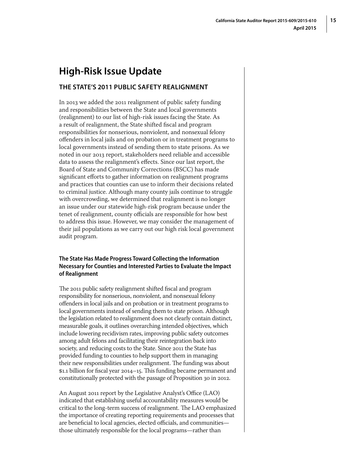# **High‑Risk Issue Update**

# **THE STATE'S 2011 PUBLIC SAFETY REALIGNMENT**

In 2013 we added the 2011 realignment of public safety funding and responsibilities between the State and local governments (realignment) to our list of high‑risk issues facing the State. As a result of realignment, the State shifted fiscal and program responsibilities for nonserious, nonviolent, and nonsexual felony offenders in local jails and on probation or in treatment programs to local governments instead of sending them to state prisons. As we noted in our 2013 report, stakeholders need reliable and accessible data to assess the realignment's effects. Since our last report, the Board of State and Community Corrections (BSCC) has made significant efforts to gather information on realignment programs and practices that counties can use to inform their decisions related to criminal justice. Although many county jails continue to struggle with overcrowding, we determined that realignment is no longer an issue under our statewide high-risk program because under the tenet of realignment, county officials are responsible for how best to address this issue. However, we may consider the management of their jail populations as we carry out our high risk local government audit program.

## **The State Has Made Progress Toward Collecting the Information Necessary for Counties and Interested Parties to Evaluate the Impact of Realignment**

The 2011 public safety realignment shifted fiscal and program responsibility for nonserious, nonviolent, and nonsexual felony offenders in local jails and on probation or in treatment programs to local governments instead of sending them to state prison. Although the legislation related to realignment does not clearly contain distinct, measurable goals, it outlines overarching intended objectives, which include lowering recidivism rates, improving public safety outcomes among adult felons and facilitating their reintegration back into society, and reducing costs to the State. Since 2011 the State has provided funding to counties to help support them in managing their new responsibilities under realignment. The funding was about \$1.1 billion for fiscal year 2014–15. This funding became permanent and constitutionally protected with the passage of Proposition 30 in 2012.

An August 2011 report by the Legislative Analyst's Office (LAO) indicated that establishing useful accountability measures would be critical to the long‑term success of realignment. The LAO emphasized the importance of creating reporting requirements and processes that are beneficial to local agencies, elected officials, and communities those ultimately responsible for the local programs—rather than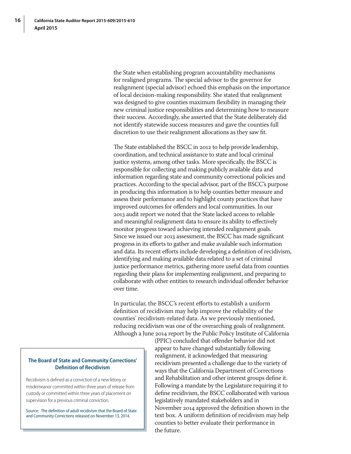the State when establishing program accountability mechanisms for realigned programs. The special advisor to the governor for realignment (special advisor) echoed this emphasis on the importance of local decision‑making responsibility. She stated that realignment was designed to give counties maximum flexibility in managing their new criminal justice responsibilities and determining how to measure their success. Accordingly, she asserted that the State deliberately did not identify statewide success measures and gave the counties full discretion to use their realignment allocations as they saw fit.

The State established the BSCC in 2012 to help provide leadership, coordination, and technical assistance to state and local criminal justice systems, among other tasks. More specifically, the BSCC is responsible for collecting and making publicly available data and information regarding state and community correctional policies and practices. According to the special advisor, part of the BSCC's purpose in producing this information is to help counties better measure and assess their performance and to highlight county practices that have improved outcomes for offenders and local communities. In our 2013 audit report we noted that the State lacked access to reliable and meaningful realignment data to ensure its ability to effectively monitor progress toward achieving intended realignment goals. Since we issued our 2013 assessment, the BSCC has made significant progress in its efforts to gather and make available such information and data. Its recent efforts include developing a definition of recidivism, identifying and making available data related to a set of criminal justice performance metrics, gathering more useful data from counties regarding their plans for implementing realignment, and preparing to collaborate with other entities to research individual offender behavior over time.

In particular, the BSCC's recent efforts to establish a uniform definition of recidivism may help improve the reliability of the counties' recidivism-related data. As we previously mentioned, reducing recidivism was one of the overarching goals of realignment. Although a June 2014 report by the Public Policy Institute of California

(PPIC) concluded that offender behavior did not

appear to have changed substantially following realignment, it acknowledged that measuring recidivism presented a challenge due to the variety of ways that the California Department of Corrections and Rehabilitation and other interest groups define it. Following a mandate by the Legislature requiring it to define recidivism, the BSCC collaborated with various legislatively mandated stakeholders and in November 2014 approved the definition shown in the text box. A uniform definition of recidivism may help counties to better evaluate their performance in the future.

#### **The Board of State and Community Corrections' Definition of Recidivism**

Recidivism is defined as a conviction of a new felony or misdemeanor committed within three years of release from custody or committed within three years of placement on supervision for a previous criminal conviction.

Source: The definition of adult recidivism that the Board of State and Community Corrections released on November 13, 2014.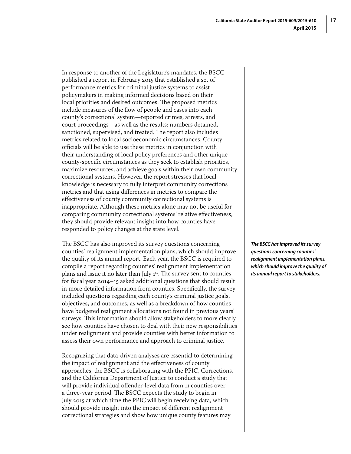In response to another of the Legislature's mandates, the BSCC published a report in February 2015 that established a set of performance metrics for criminal justice systems to assist policymakers in making informed decisions based on their local priorities and desired outcomes. The proposed metrics include measures of the flow of people and cases into each county's correctional system—reported crimes, arrests, and court proceedings—as well as the results: numbers detained, sanctioned, supervised, and treated. The report also includes metrics related to local socioeconomic circumstances. County officials will be able to use these metrics in conjunction with their understanding of local policy preferences and other unique county‑specific circumstances as they seek to establish priorities, maximize resources, and achieve goals within their own community correctional systems. However, the report stresses that local knowledge is necessary to fully interpret community corrections metrics and that using differences in metrics to compare the effectiveness of county community correctional systems is inappropriate. Although these metrics alone may not be useful for comparing community correctional systems' relative effectiveness, they should provide relevant insight into how counties have responded to policy changes at the state level.

The BSCC has also improved its survey questions concerning counties' realignment implementation plans, which should improve the quality of its annual report. Each year, the BSCC is required to compile a report regarding counties' realignment implementation plans and issue it no later than July  $1<sup>st</sup>$ . The survey sent to counties for fiscal year 2014–15 asked additional questions that should result in more detailed information from counties. Specifically, the survey included questions regarding each county's criminal justice goals, objectives, and outcomes, as well as a breakdown of how counties have budgeted realignment allocations not found in previous years' surveys. This information should allow stakeholders to more clearly see how counties have chosen to deal with their new responsibilities under realignment and provide counties with better information to assess their own performance and approach to criminal justice.

Recognizing that data‑driven analyses are essential to determining the impact of realignment and the effectiveness of county approaches, the BSCC is collaborating with the PPIC, Corrections, and the California Department of Justice to conduct a study that will provide individual offender‑level data from 11 counties over a three‑year period. The BSCC expects the study to begin in July 2015 at which time the PPIC will begin receiving data, which should provide insight into the impact of different realignment correctional strategies and show how unique county features may

*The BSCC has improved its survey questions concerning counties' realignment implementation plans, which should improve the quality of its annual report to stakeholders.*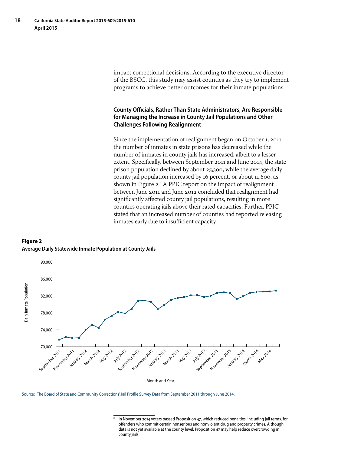impact correctional decisions. According to the executive director of the BSCC, this study may assist counties as they try to implement programs to achieve better outcomes for their inmate populations.

## **County Officials, Rather Than State Administrators, Are Responsible for Managing the Increase in County Jail Populations and Other Challenges Following Realignment**

Since the implementation of realignment began on October 1, 2011, the number of inmates in state prisons has decreased while the number of inmates in county jails has increased, albeit to a lesser extent. Specifically, between September 2011 and June 2014, the state prison population declined by about 25,300, while the average daily county jail population increased by 16 percent, or about 11,600, as shown in Figure 2.8 A PPIC report on the impact of realignment between June 2011 and June 2012 concluded that realignment had significantly affected county jail populations, resulting in more counties operating jails above their rated capacities. Further, PPIC stated that an increased number of counties had reported releasing inmates early due to insufficient capacity.



# Figure 2 **Average Daily Statewide Inmate Population at County Jails**

Source: The Board of State and Community Corrections' Jail Profile Survey Data from September 2011 through June 2014.

<sup>8</sup> In November 2014 voters passed Proposition 47, which reduced penalties, including jail terms, for offenders who commit certain nonserious and nonviolent drug and property crimes. Although data is not yet available at the county level, Proposition 47 may help reduce overcrowding in county jails.